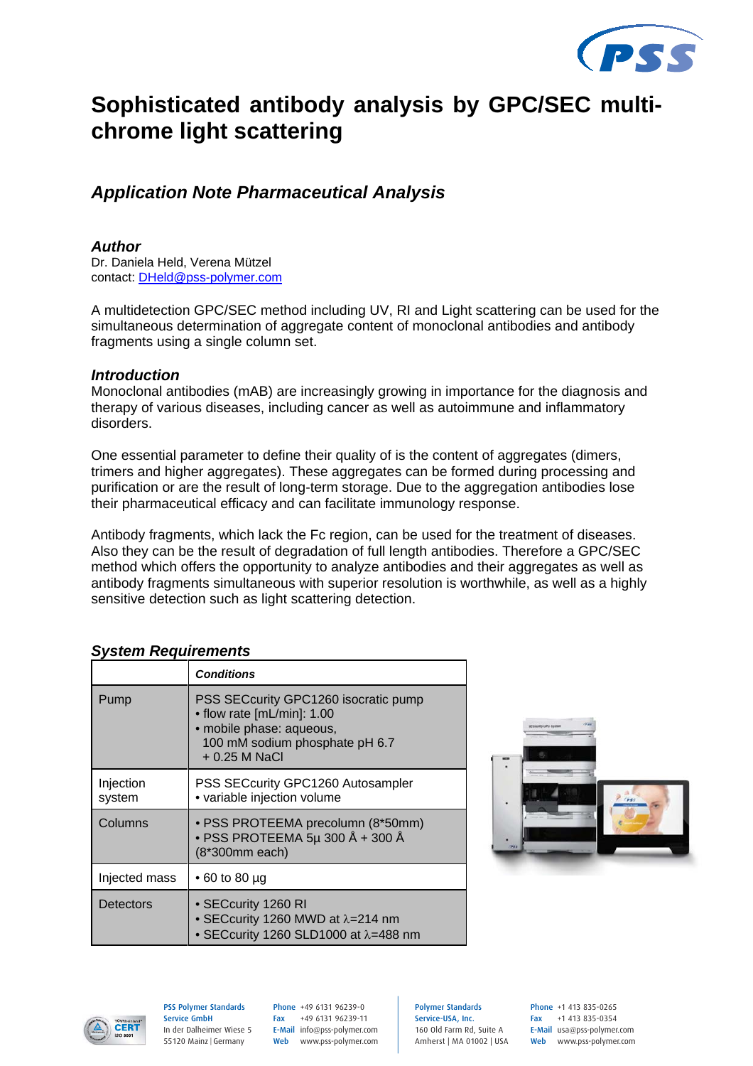

# **Sophisticated antibody analysis by GPC/SEC multichrome light scattering**

## *Application Note Pharmaceutical Analysis*

#### *Author*

Dr. Daniela Held, Verena Mützel contact: DHeld@pss-polymer.com

A multidetection GPC/SEC method including UV, RI and Light scattering can be used for the simultaneous determination of aggregate content of monoclonal antibodies and antibody fragments using a single column set.

#### *Introduction*

Monoclonal antibodies (mAB) are increasingly growing in importance for the diagnosis and therapy of various diseases, including cancer as well as autoimmune and inflammatory disorders.

One essential parameter to define their quality of is the content of aggregates (dimers, trimers and higher aggregates). These aggregates can be formed during processing and purification or are the result of long-term storage. Due to the aggregation antibodies lose their pharmaceutical efficacy and can facilitate immunology response.

Antibody fragments, which lack the Fc region, can be used for the treatment of diseases. Also they can be the result of degradation of full length antibodies. Therefore a GPC/SEC method which offers the opportunity to analyze antibodies and their aggregates as well as antibody fragments simultaneous with superior resolution is worthwhile, as well as a highly sensitive detection such as light scattering detection.

|                     | <b>Conditions</b>                                                                                                                                  |
|---------------------|----------------------------------------------------------------------------------------------------------------------------------------------------|
| Pump                | PSS SECcurity GPC1260 isocratic pump<br>• flow rate [mL/min]: 1.00<br>· mobile phase: aqueous,<br>100 mM sodium phosphate pH 6.7<br>$+0.25$ M NaCl |
| Injection<br>system | PSS SECcurity GPC1260 Autosampler<br>• variable injection volume                                                                                   |
| Columns             | · PSS PROTEEMA precolumn (8*50mm)<br>• PSS PROTEEMA 5µ 300 Å + 300 Å<br>(8*300mm each)                                                             |
| Injected mass       | • 60 to 80 µg                                                                                                                                      |
| Detectors           | • SECcurity 1260 RI<br>• SECcurity 1260 MWD at $\lambda$ =214 nm<br>• SECcurity 1260 SLD1000 at $\lambda$ =488 nm                                  |

#### *System Requirements*





PSS Polymer Standards Service GmbH In der Dalheimer Wiese 5 55120 Mainz |Germany

Phone +49 6131 96239-0 Fax +49 6131 96239-11 E-Mail info@pss-polymer.com Web www.pss-polymer.com Polymer Standards Service-USA, Inc. 160 Old Farm Rd, Suite A Amherst | MA 01002 | USA Phone +1 413 835-0265 Fax +1 413 835-0354 E-Mail usa@pss-polymer.com Web www.pss-polymer.com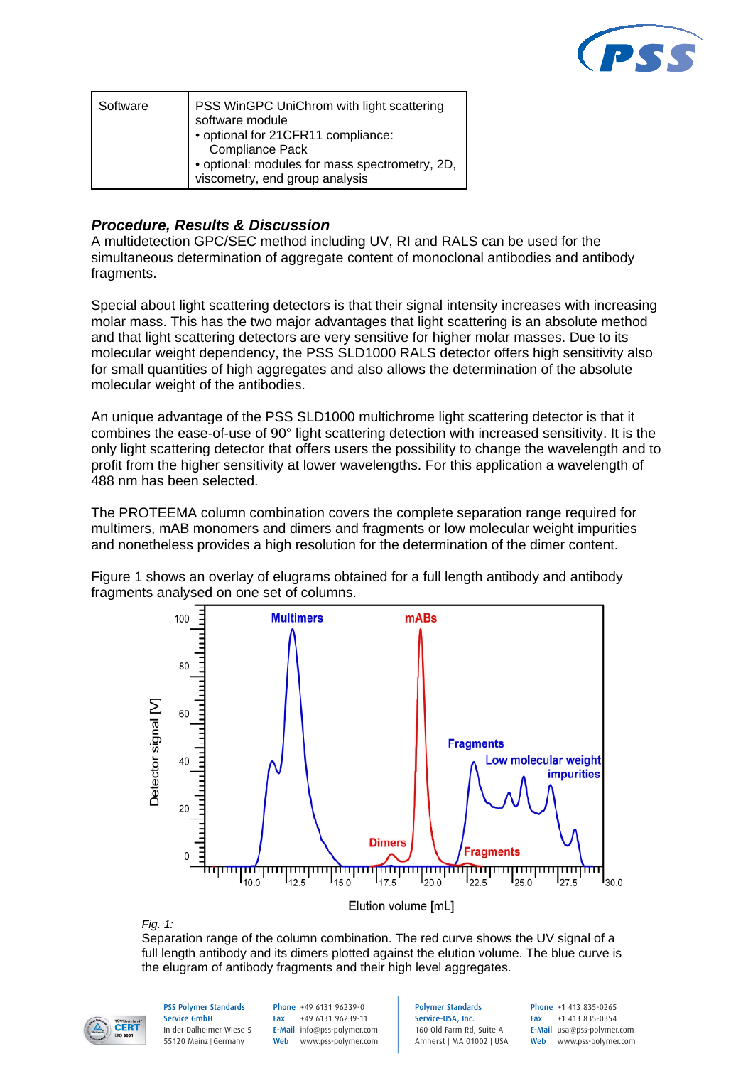

| Software | PSS WinGPC UniChrom with light scattering<br>software module<br>• optional for 21CFR11 compliance:<br>Compliance Pack |
|----------|-----------------------------------------------------------------------------------------------------------------------|
|          | • optional: modules for mass spectrometry, 2D,<br>viscometry, end group analysis                                      |

### *Procedure, Results & Discussion*

A multidetection GPC/SEC method including UV, RI and RALS can be used for the simultaneous determination of aggregate content of monoclonal antibodies and antibody fragments.

Special about light scattering detectors is that their signal intensity increases with increasing molar mass. This has the two major advantages that light scattering is an absolute method and that light scattering detectors are very sensitive for higher molar masses. Due to its molecular weight dependency, the PSS SLD1000 RALS detector offers high sensitivity also for small quantities of high aggregates and also allows the determination of the absolute molecular weight of the antibodies.

An unique advantage of the PSS SLD1000 multichrome light scattering detector is that it combines the ease-of-use of 90° light scattering detection with increased sensitivity. It is the only light scattering detector that offers users the possibility to change the wavelength and to profit from the higher sensitivity at lower wavelengths. For this application a wavelength of 488 nm has been selected.

The PROTEEMA column combination covers the complete separation range required for multimers, mAB monomers and dimers and fragments or low molecular weight impurities and nonetheless provides a high resolution for the determination of the dimer content.

Figure 1 shows an overlay of elugrams obtained for a full length antibody and antibody fragments analysed on one set of columns.



*Fig. 1:*

Separation range of the column combination. The red curve shows the UV signal of a full length antibody and its dimers plotted against the elution volume. The blue curve is the elugram of antibody fragments and their high level aggregates.



PSS Polymer Standards Service GmbH In der Dalheimer Wiese 5 55120 Mainz |Germany

Phone +49 6131 96239-0 Fax +49 6131 96239-11 E-Mail info@pss-polymer.com Web www.pss-polymer.com Polymer Standards Service-USA, Inc. 160 Old Farm Rd, Suite A Amherst | MA 01002 | USA Phone +1 413 835-0265 Fax +1 413 835-0354 E-Mail usa@pss-polymer.com Web www.pss-polymer.com